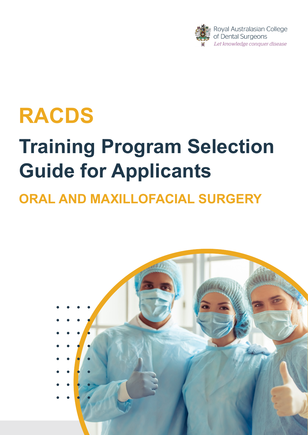

## **RACDS**

# **Training Program Selection Guide for Applicants**

## **ORAL AND MAXILLOFACIAL SURGERY**

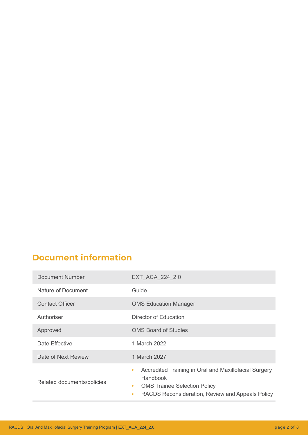## **Document information**

| Document Number            | EXT_ACA_224_2.0                                                                                                                                                             |
|----------------------------|-----------------------------------------------------------------------------------------------------------------------------------------------------------------------------|
| Nature of Document         | Guide                                                                                                                                                                       |
| <b>Contact Officer</b>     | <b>OMS Education Manager</b>                                                                                                                                                |
| Authoriser                 | Director of Education                                                                                                                                                       |
| Approved                   | <b>OMS Board of Studies</b>                                                                                                                                                 |
| Date Effective             | 1 March 2022                                                                                                                                                                |
| Date of Next Review        | 1 March 2027                                                                                                                                                                |
| Related documents/policies | Accredited Training in Oral and Maxillofacial Surgery<br>٠<br>Handbook<br><b>OMS Trainee Selection Policy</b><br>۰<br>RACDS Reconsideration, Review and Appeals Policy<br>۰ |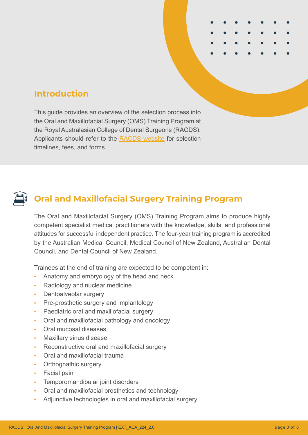# **Introduction**

This guide provides an overview of the selection process into the Oral and Maxillofacial Surgery (OMS) Training Program at the Royal Australasian College of Dental Surgeons (RACDS). Applicants should refer to the [RACDS website](https://racds.org/oms-training-program/) for selection timelines, fees, and forms.



## **Oral and Maxillofacial Surgery Training Program**

The Oral and Maxillofacial Surgery (OMS) Training Program aims to produce highly competent specialist medical practitioners with the knowledge, skills, and professional attitudes for successful independent practice. The four-year training program is accredited by the Australian Medical Council, Medical Council of New Zealand, Australian Dental Council, and Dental Council of New Zealand.

Trainees at the end of training are expected to be competent in:

- **•** Anatomy and embryology of the head and neck
- **•** Radiology and nuclear medicine
- **•** Dentoalveolar surgery
- **•** Pre-prosthetic surgery and implantology
- **•** Paediatric oral and maxillofacial surgery
- **•** Oral and maxillofacial pathology and oncology
- **•** Oral mucosal diseases
- **•** Maxillary sinus disease
- **•** Reconstructive oral and maxillofacial surgery
- **•** Oral and maxillofacial trauma
- **•** Orthognathic surgery
- **•** Facial pain
- **•** Temporomandibular joint disorders
- **•** Oral and maxillofacial prosthetics and technology
- **•** Adjunctive technologies in oral and maxillofacial surgery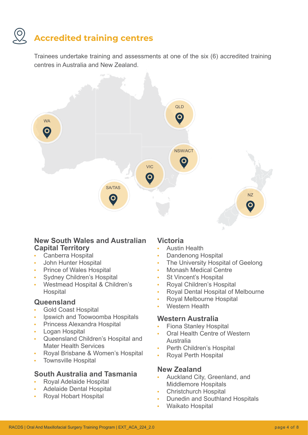## **Accredited training centres**

Trainees undertake training and assessments at one of the six (6) accredited training centres in Australia and New Zealand.



#### **New South Wales and Australian Capital Territory**

- **•** Canberra Hospital
- **•** John Hunter Hospital
- **•** Prince of Wales Hospital
- **•** Sydney Children's Hospital
- **•** Westmead Hospital & Children's **Hospital**

#### **Queensland**

- **•** Gold Coast Hospital
- **•** Ipswich and Toowoomba Hospitals
- **•** Princess Alexandra Hospital
- **•** Logan Hospital
- **•** Queensland Children's Hospital and Mater Health Services
- **•** Royal Brisbane & Women's Hospital
- **•** Townsville Hospital

### **South Australia and Tasmania**

- **•** Royal Adelaide Hospital
- **•** Adelaide Dental Hospital
- **•** Royal Hobart Hospital

#### **Victoria**

- **•** Austin Health
- **•** Dandenong Hospital
- **•** The University Hospital of Geelong
- **•** Monash Medical Centre
- **•** St Vincent's Hospital
- **•** Royal Children's Hospital
- **•** Royal Dental Hospital of Melbourne
- **•** Royal Melbourne Hospital
- **•** Western Health

#### **Western Australia**

- **•** Fiona Stanley Hospital
- **•** Oral Health Centre of Western Australia
- **•** Perth Children's Hospital
- **•** Royal Perth Hospital

### **New Zealand**

- **•** Auckland City, Greenland, and Middlemore Hospitals
- **•** Christchurch Hospital
- **•** Dunedin and Southland Hospitals
- **•** Waikato Hospital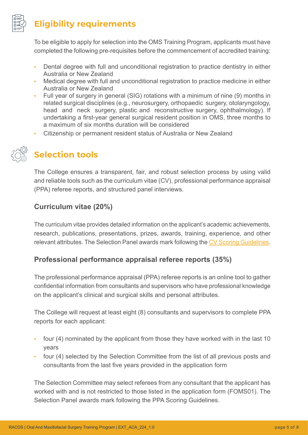

## **Eligibility requirements**

To be eligible to apply for selection into the OMS Training Program, applicants must have completed the following pre-requisites before the commencement of accredited training:

- **•** Dental degree with full and unconditional registration to practice dentistry in either Australia or New Zealand
- **•** Medical degree with full and unconditional registration to practice medicine in either Australia or New Zealand
- **•** Full year of surgery in general (SIG) rotations with a minimum of nine (9) months in related surgical disciplines (e.g., neurosurgery, orthopaedic surgery, otolaryngology, head and neck surgery, plastic and reconstructive surgery, ophthalmology). If undertaking a first-year general surgical resident position in OMS, three months to a maximum of six months duration will be considered
- **•** Citizenship or permanent resident status of Australia or New Zealand



## **Selection tools**

The College ensures a transparent, fair, and robust selection process by using valid and reliable tools such as the curriculum vitae (CV), professional performance appraisal (PPA) referee reports, and structured panel interviews.

## **Curriculum vitae (20%)**

The curriculum vitae provides detailed information on the applicant's academic achievements, research, publications, presentations, prizes, awards, training, experience, and other relevant attributes. The Selection Panel awards mark following the [CV Scoring Guidelines.](https://racds.org/omscvguide)

## **Professional performance appraisal referee reports (35%)**

The professional performance appraisal (PPA) referee reports is an online tool to gather confidential information from consultants and supervisors who have professional knowledge on the applicant's clinical and surgical skills and personal attributes.

The College will request at least eight (8) consultants and supervisors to complete PPA reports for each applicant:

- **•** four (4) nominated by the applicant from those they have worked with in the last 10 years
- **•** four (4) selected by the Selection Committee from the list of all previous posts and consultants from the last five years provided in the application form

The Selection Committee may select referees from any consultant that the applicant has worked with and is not restricted to those listed in the application form (FOMS01). The Selection Panel awards mark following the PPA Scoring Guidelines.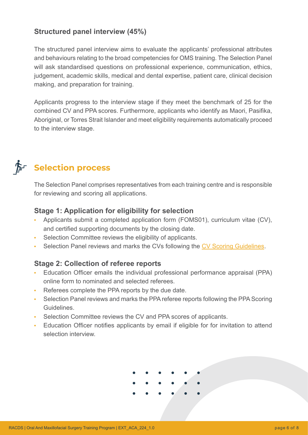### **Structured panel interview (45%)**

The structured panel interview aims to evaluate the applicants' professional attributes and behaviours relating to the broad competencies for OMS training. The Selection Panel will ask standardised questions on professional experience, communication, ethics, judgement, academic skills, medical and dental expertise, patient care, clinical decision making, and preparation for training.

Applicants progress to the interview stage if they meet the benchmark of 25 for the combined CV and PPA scores. Furthermore, applicants who identify as Maori, Pasifika, Aboriginal, or Torres Strait Islander and meet eligibility requirements automatically proceed to the interview stage.



## **Selection process**

The Selection Panel comprises representatives from each training centre and is responsible for reviewing and scoring all applications.

## **Stage 1: Application for eligibility for selection**

- **•** Applicants submit a completed application form (FOMS01), curriculum vitae (CV), and certified supporting documents by the closing date.
- **•** Selection Committee reviews the eligibility of applicants.
- **•** Selection Panel reviews and marks the CVs following the [CV Scoring Guidelines.](https://racds.org/omscvguide)

### **Stage 2: Collection of referee reports**

- **•** Education Officer emails the individual professional performance appraisal (PPA) online form to nominated and selected referees.
- **•** Referees complete the PPA reports by the due date.
- **•** Selection Panel reviews and marks the PPA referee reports following the PPA Scoring Guidelines.
- **•** Selection Committee reviews the CV and PPA scores of applicants.
- **•** Education Officer notifies applicants by email if eligible for for invitation to attend selection interview.

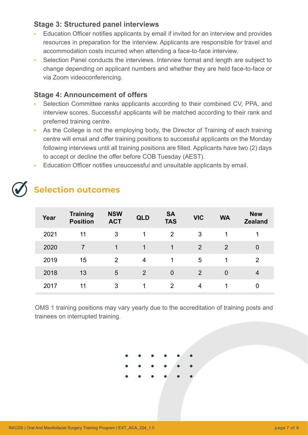#### **Stage 3: Structured panel interviews**

- **•** Education Officer notifies applicants by email if invited for an interview and provides resources in preparation for the interview. Applicants are responsible for travel and accommodation costs incurred when attending a face-to-face interview.
- **•** Selection Panel conducts the interviews. Interview format and length are subject to change depending on applicant numbers and whether they are held face-to-face or via Zoom videoconferencing.

#### **Stage 4: Announcement of offers**

- **•** Selection Committee ranks applicants according to their combined CV, PPA, and interview scores. Successful applicants will be matched according to their rank and preferred training centre.
- **•** As the College is not the employing body, the Director of Training of each training centre will email and offer training positions to successful applicants on the Monday following interviews until all training positions are filled. Applicants have two (2) days to accept or decline the offer before COB Tuesday (AEST).
- **•** Education Officer notifies unsuccessful and unsuitable applicants by email.

## **Selection outcomes**

| Year | <b>Training</b><br><b>Position</b> | <b>NSW</b><br><b>ACT</b> | <b>QLD</b> | <b>SA</b><br><b>TAS</b> | <b>VIC</b>     | <b>WA</b>      | <b>New</b><br><b>Zealand</b> |
|------|------------------------------------|--------------------------|------------|-------------------------|----------------|----------------|------------------------------|
| 2021 | 11                                 | 3                        | 1          | 2                       | 3              |                |                              |
| 2020 |                                    | 1                        | 1          | 1                       | $\overline{2}$ | 2              | 0                            |
| 2019 | 15                                 | $\overline{2}$           | 4          | 1                       | 5              | 1              | 2                            |
| 2018 | 13                                 | 5                        | 2          | $\overline{0}$          | $\overline{2}$ | $\overline{0}$ | 4                            |
| 2017 | 11                                 | 3                        |            | 2                       | 4              | 1              | 0                            |

OMS 1 training positions may vary yearly due to the accreditation of training posts and trainees on interrupted training.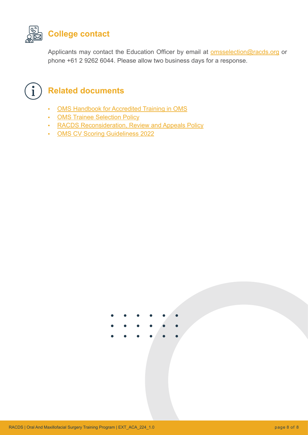

Applicants may contact the Education Officer by email at **omsselection@racds.org** or phone +61 2 9262 6044. Please allow two business days for a response.



## **Related documents**

- **•** [OMS Handbook for Accredited Training in OMS](https://racds.org/omshandbook)
- **•** [OMS Trainee Selection Policy](https://racds.org/omstraineeselect)
- **•** [RACDS Reconsideration, Review and Appeals Policy](https://racds.org/appeals)
- **•** [OMS CV Scoring Guideliness 2022](https://racds.org/omscvguide)